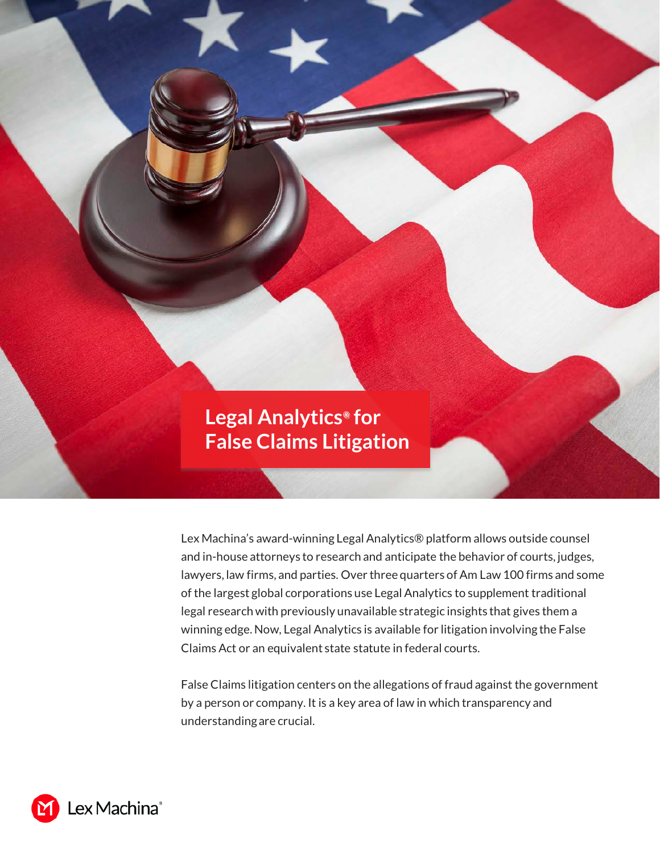

Lex Machina's award-winning Legal Analytics® platform allows outside counsel and in-house attorneys to research and anticipate the behavior of courts, judges, lawyers, law firms, and parties. Over three quarters of Am Law 100 firms and some of the largest global corporations use Legal Analytics to supplement traditional legal research with previously unavailable strategic insights that gives them a winning edge. Now, Legal Analytics is available for litigation involving the False Claims Act or an equivalent state statute in federal courts.

False Claims litigation centers on the allegations of fraud against the government by a person or company. It is a key area of law in which transparency and understanding are crucial.